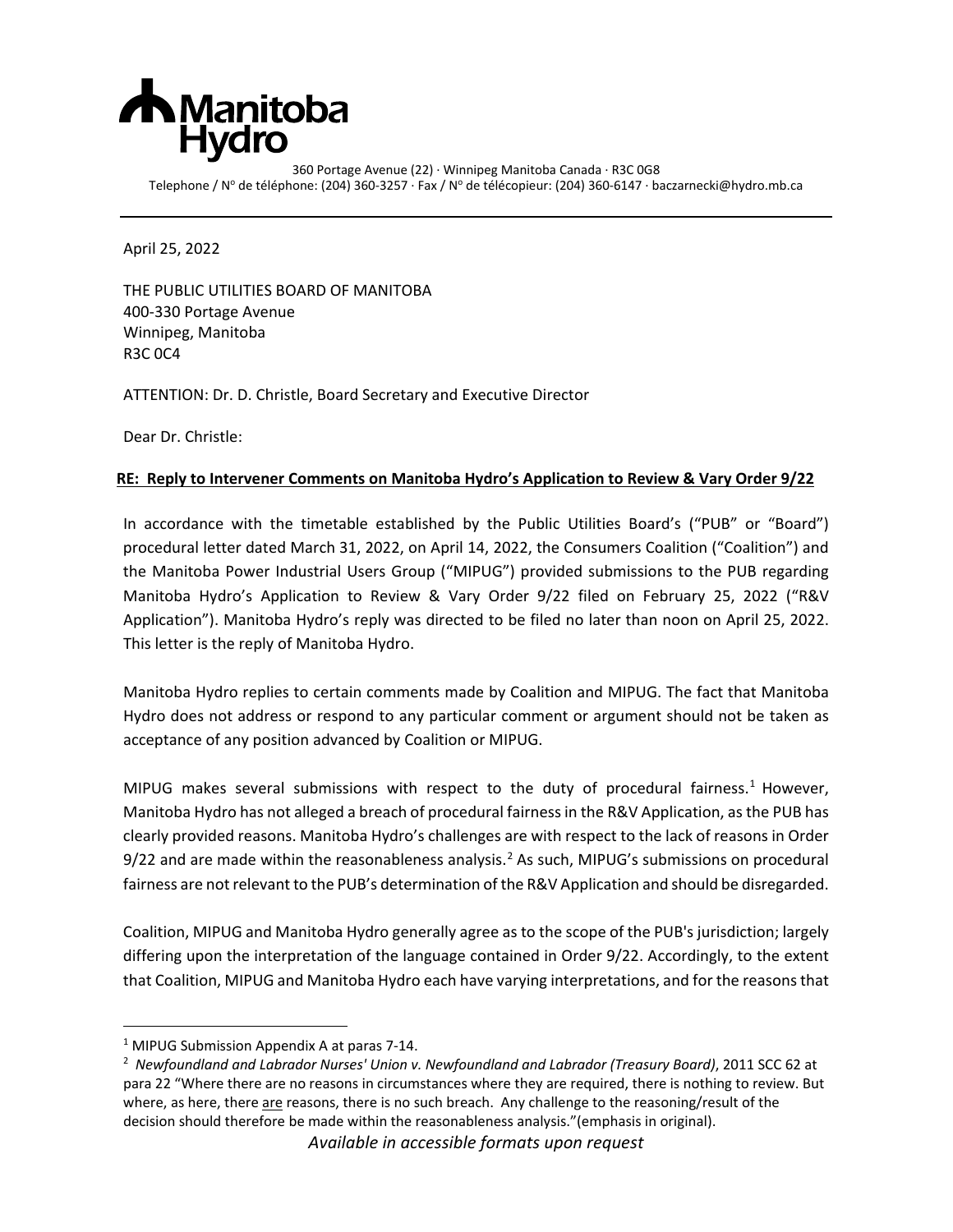

360 Portage Avenue (22) · Winnipeg Manitoba Canada · R3C 0G8 Telephone / Nº de téléphone: (204) 360-3257 · Fax / Nº de télécopieur: (204) 360-6147 · baczarnecki@hydro.mb.ca

April 25, 2022

THE PUBLIC UTILITIES BOARD OF MANITOBA 400-330 Portage Avenue Winnipeg, Manitoba R3C 0C4

ATTENTION: Dr. D. Christle, Board Secretary and Executive Director

Dear Dr. Christle:

### **RE: Reply to Intervener Comments on Manitoba Hydro's Application to Review & Vary Order 9/22**

In accordance with the timetable established by the Public Utilities Board's ("PUB" or "Board") procedural letter dated March 31, 2022, on April 14, 2022, the Consumers Coalition ("Coalition") and the Manitoba Power Industrial Users Group ("MIPUG") provided submissions to the PUB regarding Manitoba Hydro's Application to Review & Vary Order 9/22 filed on February 25, 2022 ("R&V Application"). Manitoba Hydro's reply was directed to be filed no later than noon on April 25, 2022. This letter is the reply of Manitoba Hydro.

Manitoba Hydro replies to certain comments made by Coalition and MIPUG. The fact that Manitoba Hydro does not address or respond to any particular comment or argument should not be taken as acceptance of any position advanced by Coalition or MIPUG.

MIPUG makes several submissions with respect to the duty of procedural fairness.<sup>[1](#page-0-0)</sup> However, Manitoba Hydro has not alleged a breach of procedural fairness in the R&V Application, as the PUB has clearly provided reasons. Manitoba Hydro's challenges are with respect to the lack of reasons in Order 9/[2](#page-0-1)2 and are made within the reasonableness analysis.<sup>2</sup> As such, MIPUG's submissions on procedural fairness are not relevant to the PUB's determination of the R&V Application and should be disregarded.

Coalition, MIPUG and Manitoba Hydro generally agree as to the scope of the PUB's jurisdiction; largely differing upon the interpretation of the language contained in Order 9/22. Accordingly, to the extent that Coalition, MIPUG and Manitoba Hydro each have varying interpretations, and for the reasons that

*Available in accessible formats upon request*

<span id="page-0-1"></span><span id="page-0-0"></span><sup>&</sup>lt;sup>1</sup> MIPUG Submission Appendix A at paras 7-14.

<sup>2</sup> *Newfoundland and Labrador Nurses' Union v. Newfoundland and Labrador (Treasury Board)*, 2011 SCC 62 at para 22 "Where there are no reasons in circumstances where they are required, there is nothing to review. But where, as here, there are reasons, there is no such breach. Any challenge to the reasoning/result of the decision should therefore be made within the reasonableness analysis."(emphasis in original).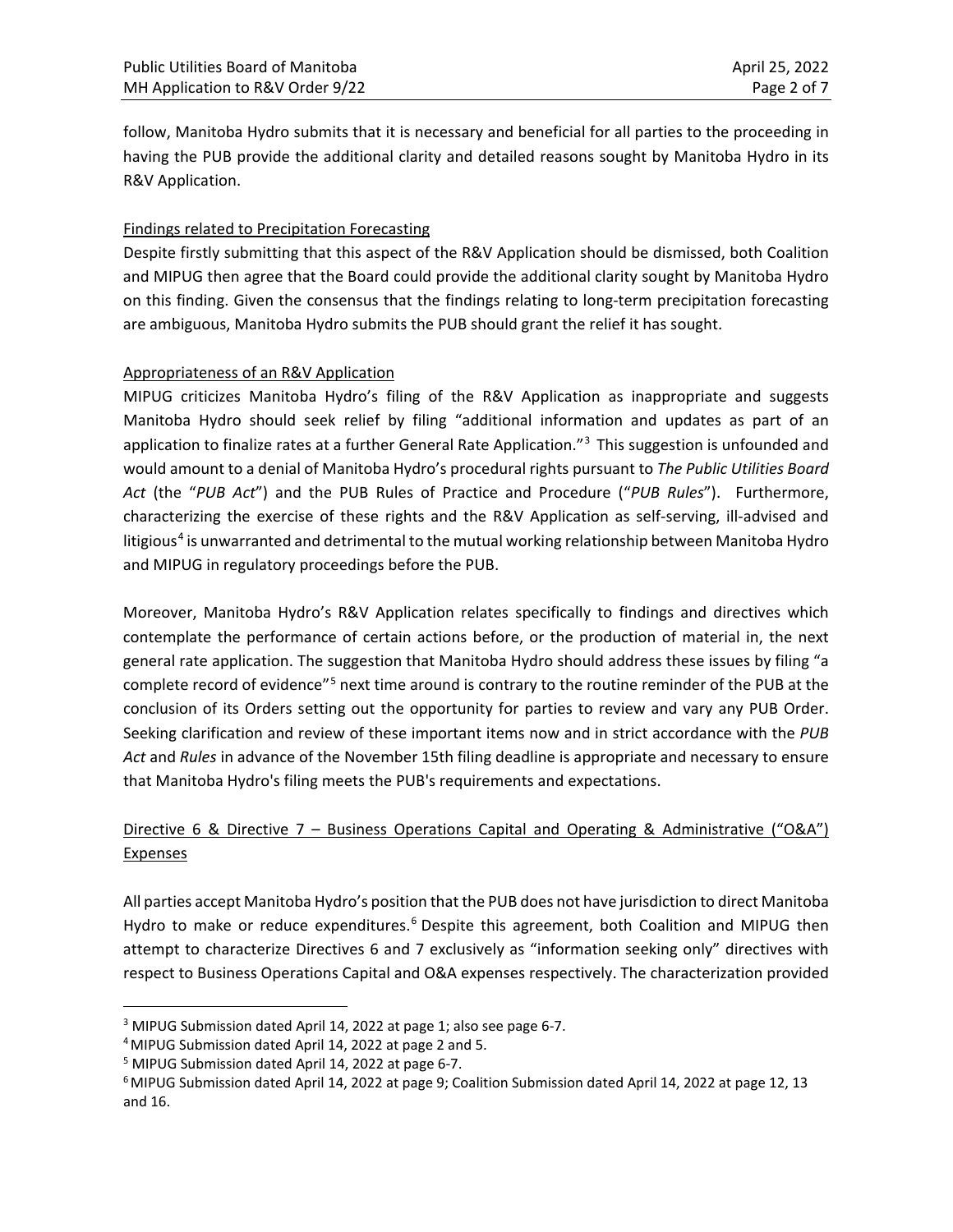follow, Manitoba Hydro submits that it is necessary and beneficial for all parties to the proceeding in having the PUB provide the additional clarity and detailed reasons sought by Manitoba Hydro in its R&V Application.

## Findings related to Precipitation Forecasting

Despite firstly submitting that this aspect of the R&V Application should be dismissed, both Coalition and MIPUG then agree that the Board could provide the additional clarity sought by Manitoba Hydro on this finding. Given the consensus that the findings relating to long-term precipitation forecasting are ambiguous, Manitoba Hydro submits the PUB should grant the relief it has sought.

### Appropriateness of an R&V Application

MIPUG criticizes Manitoba Hydro's filing of the R&V Application as inappropriate and suggests Manitoba Hydro should seek relief by filing "additional information and updates as part of an application to finalize rates at a further General Rate Application."<sup>[3](#page-1-0)</sup> This suggestion is unfounded and would amount to a denial of Manitoba Hydro's procedural rights pursuant to *The Public Utilities Board Act* (the "*PUB Act*") and the PUB Rules of Practice and Procedure ("*PUB Rules*"). Furthermore, characterizing the exercise of these rights and the R&V Application as self-serving, ill-advised and litigious<sup>[4](#page-1-1)</sup> is unwarranted and detrimental to the mutual working relationship between Manitoba Hydro and MIPUG in regulatory proceedings before the PUB.

Moreover, Manitoba Hydro's R&V Application relates specifically to findings and directives which contemplate the performance of certain actions before, or the production of material in, the next general rate application. The suggestion that Manitoba Hydro should address these issues by filing "a complete record of evidence"<sup>[5](#page-1-2)</sup> next time around is contrary to the routine reminder of the PUB at the conclusion of its Orders setting out the opportunity for parties to review and vary any PUB Order. Seeking clarification and review of these important items now and in strict accordance with the *PUB Act* and *Rules* in advance of the November 15th filing deadline is appropriate and necessary to ensure that Manitoba Hydro's filing meets the PUB's requirements and expectations.

# Directive 6 & Directive 7 – Business Operations Capital and Operating & Administrative ("O&A") Expenses

All parties accept Manitoba Hydro's position that the PUB does not have jurisdiction to direct Manitoba Hydro to make or reduce expenditures.<sup>[6](#page-1-3)</sup> Despite this agreement, both Coalition and MIPUG then attempt to characterize Directives 6 and 7 exclusively as "information seeking only" directives with respect to Business Operations Capital and O&A expenses respectively. The characterization provided

<span id="page-1-0"></span><sup>&</sup>lt;sup>3</sup> MIPUG Submission dated April 14, 2022 at page 1; also see page 6-7.<br><sup>4</sup> MIPUG Submission dated April 14, 2022 at page 2 and 5.

<span id="page-1-1"></span>

<span id="page-1-2"></span><sup>5</sup> MIPUG Submission dated April 14, 2022 at page 6-7.

<span id="page-1-3"></span><sup>6</sup> MIPUG Submission dated April 14, 2022 at page 9; Coalition Submission dated April 14, 2022 at page 12, 13 and 16.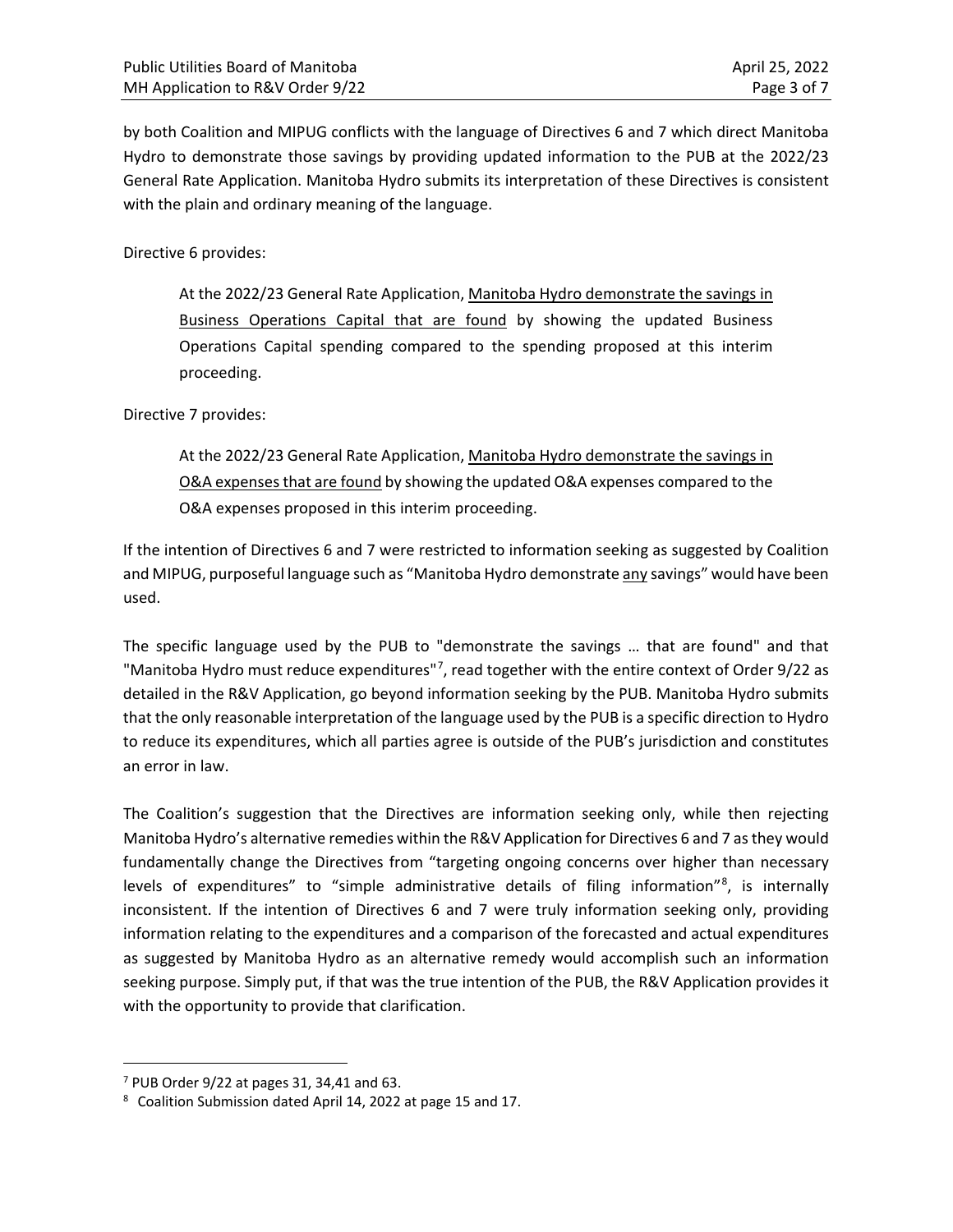by both Coalition and MIPUG conflicts with the language of Directives 6 and 7 which direct Manitoba Hydro to demonstrate those savings by providing updated information to the PUB at the 2022/23 General Rate Application. Manitoba Hydro submits its interpretation of these Directives is consistent with the plain and ordinary meaning of the language.

Directive 6 provides:

At the 2022/23 General Rate Application, Manitoba Hydro demonstrate the savings in Business Operations Capital that are found by showing the updated Business Operations Capital spending compared to the spending proposed at this interim proceeding.

### Directive 7 provides:

At the 2022/23 General Rate Application, Manitoba Hydro demonstrate the savings in O&A expenses that are found by showing the updated O&A expenses compared to the O&A expenses proposed in this interim proceeding.

If the intention of Directives 6 and 7 were restricted to information seeking as suggested by Coalition and MIPUG, purposeful language such as "Manitoba Hydro demonstrate any savings" would have been used.

The specific language used by the PUB to "demonstrate the savings … that are found" and that "Manitoba Hydro must reduce expenditures"<sup>[7](#page-2-0)</sup>, read together with the entire context of Order 9/22 as detailed in the R&V Application, go beyond information seeking by the PUB. Manitoba Hydro submits that the only reasonable interpretation of the language used by the PUB is a specific direction to Hydro to reduce its expenditures, which all parties agree is outside of the PUB's jurisdiction and constitutes an error in law.

The Coalition's suggestion that the Directives are information seeking only, while then rejecting Manitoba Hydro's alternative remedies within the R&V Application for Directives 6 and 7 as they would fundamentally change the Directives from "targeting ongoing concerns over higher than necessary levels of expenditures" to "simple administrative details of filing information"<sup>[8](#page-2-1)</sup>, is internally inconsistent. If the intention of Directives 6 and 7 were truly information seeking only, providing information relating to the expenditures and a comparison of the forecasted and actual expenditures as suggested by Manitoba Hydro as an alternative remedy would accomplish such an information seeking purpose. Simply put, if that was the true intention of the PUB, the R&V Application provides it with the opportunity to provide that clarification.

<span id="page-2-0"></span> $7$  PUB Order 9/22 at pages 31, 34,41 and 63.

<span id="page-2-1"></span><sup>8</sup> Coalition Submission dated April 14, 2022 at page 15 and 17.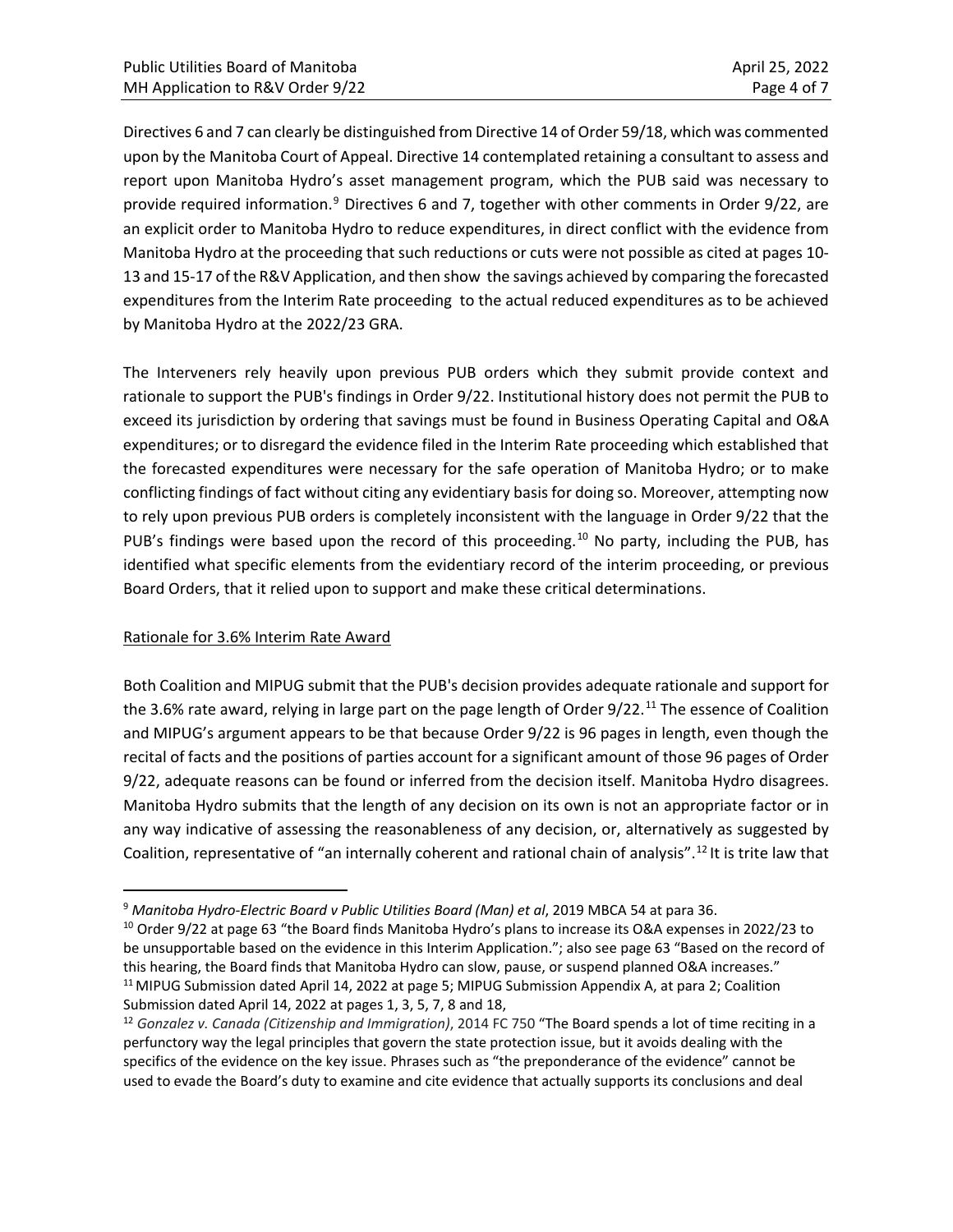Directives 6 and 7 can clearly be distinguished from Directive 14 of Order 59/18, which was commented upon by the Manitoba Court of Appeal. Directive 14 contemplated retaining a consultant to assess and report upon Manitoba Hydro's asset management program, which the PUB said was necessary to provide required information.<sup>9</sup> Directives 6 and 7, together with other comments in Order 9/22, are an explicit order to Manitoba Hydro to reduce expenditures, in direct conflict with the evidence from Manitoba Hydro at the proceeding that such reductions or cuts were not possible as cited at pages 10- 13 and 15-17 of the R&V Application, and then show the savings achieved by comparing the forecasted expenditures from the Interim Rate proceeding to the actual reduced expenditures as to be achieved by Manitoba Hydro at the 2022/23 GRA.

The Interveners rely heavily upon previous PUB orders which they submit provide context and rationale to support the PUB's findings in Order 9/22. Institutional history does not permit the PUB to exceed its jurisdiction by ordering that savings must be found in Business Operating Capital and O&A expenditures; or to disregard the evidence filed in the Interim Rate proceeding which established that the forecasted expenditures were necessary for the safe operation of Manitoba Hydro; or to make conflicting findings of fact without citing any evidentiary basis for doing so. Moreover, attempting now to rely upon previous PUB orders is completely inconsistent with the language in Order 9/22 that the PUB's findings were based upon the record of this proceeding.<sup>[10](#page-3-1)</sup> No party, including the PUB, has identified what specific elements from the evidentiary record of the interim proceeding, or previous Board Orders, that it relied upon to support and make these critical determinations.

## Rationale for 3.6% Interim Rate Award

Both Coalition and MIPUG submit that the PUB's decision provides adequate rationale and support for the 3.6% rate award, relying in large part on the page length of Order 9/22.<sup>[11](#page-3-2)</sup> The essence of Coalition and MIPUG's argument appears to be that because Order 9/22 is 96 pages in length, even though the recital of facts and the positions of parties account for a significant amount of those 96 pages of Order 9/22, adequate reasons can be found or inferred from the decision itself. Manitoba Hydro disagrees. Manitoba Hydro submits that the length of any decision on its own is not an appropriate factor or in any way indicative of assessing the reasonableness of any decision, or, alternatively as suggested by Coalition, representative of "an internally coherent and rational chain of analysis".[12](#page-3-3) It is trite law that

<span id="page-3-1"></span><span id="page-3-0"></span><sup>&</sup>lt;sup>9</sup> *Manitoba Hydro-Electric Board v Public Utilities Board (Man) et al, 2019 MBCA 54 at para 36.*<br><sup>10</sup> Order 9/22 at page 63 "the Board finds Manitoba Hydro's plans to increase its O&A expenses in 2022/23 to be unsupportable based on the evidence in this Interim Application."; also see page 63 "Based on the record of this hearing, the Board finds that Manitoba Hydro can slow, pause, or suspend planned O&A increases."<br><sup>11</sup> MIPUG Submission dated April 14, 2022 at page 5; MIPUG Submission Appendix A, at para 2; Coalition

<span id="page-3-3"></span><span id="page-3-2"></span>Submission dated April 14, 2022 at pages 1, 3, 5, 7, 8 and 18,<br><sup>12</sup> Gonzalez v. Canada (Citizenship and Immigration), 2014 FC 750 "The Board spends a lot of time reciting in a perfunctory way the legal principles that govern the state protection issue, but it avoids dealing with the specifics of the evidence on the key issue. Phrases such as "the preponderance of the evidence" cannot be used to evade the Board's duty to examine and cite evidence that actually supports its conclusions and deal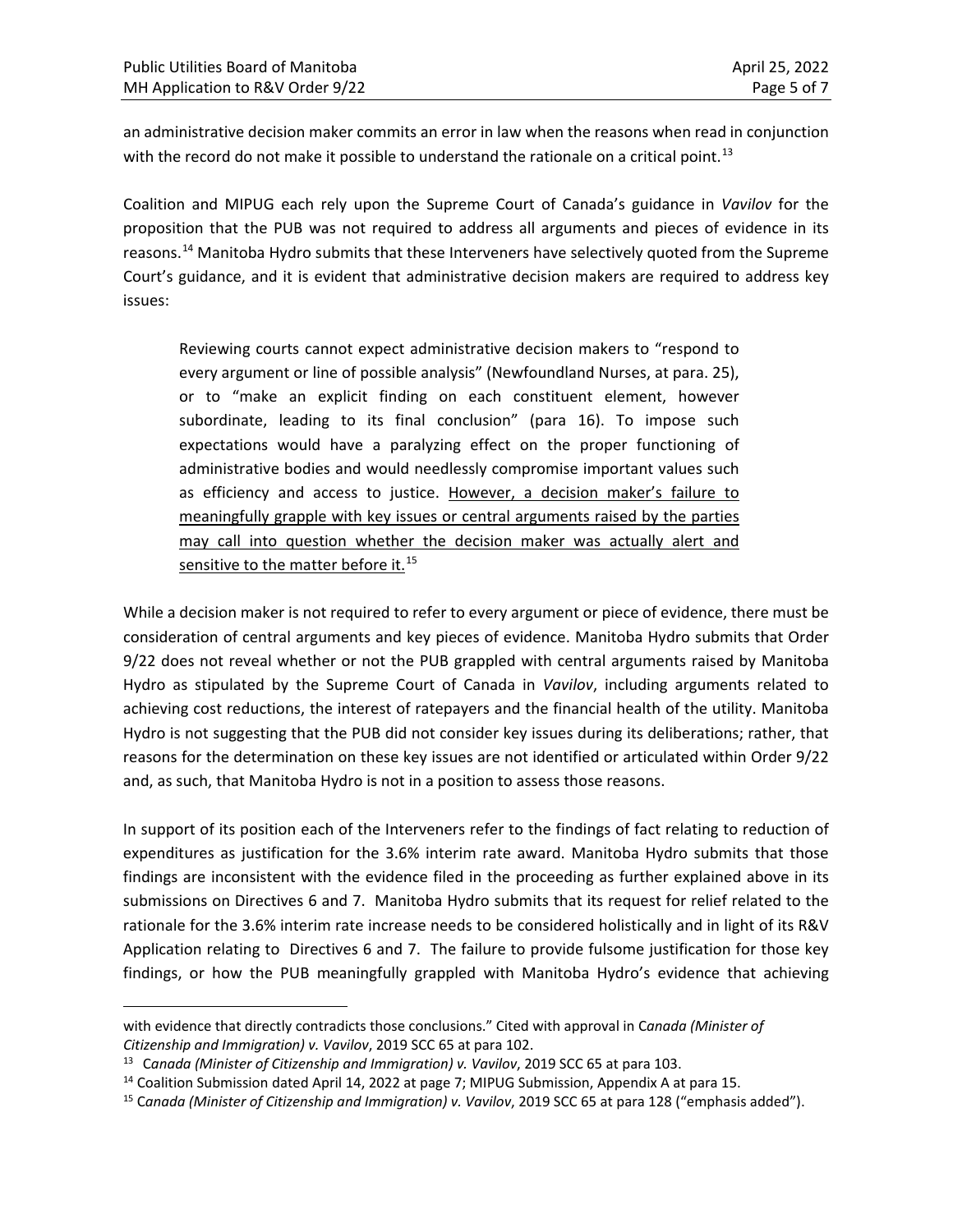an administrative decision maker commits an error in law when the reasons when read in conjunction with the record do not make it possible to understand the rationale on a critical point.<sup>[13](#page-4-0)</sup>

Coalition and MIPUG each rely upon the Supreme Court of Canada's guidance in *Vavilov* for the proposition that the PUB was not required to address all arguments and pieces of evidence in its reasons.[14](#page-4-1) Manitoba Hydro submits that these Interveners have selectively quoted from the Supreme Court's guidance, and it is evident that administrative decision makers are required to address key issues:

Reviewing courts cannot expect administrative decision makers to "respond to every argument or line of possible analysis" (Newfoundland Nurses, at para. 25), or to "make an explicit finding on each constituent element, however subordinate, leading to its final conclusion" (para 16). To impose such expectations would have a paralyzing effect on the proper functioning of administrative bodies and would needlessly compromise important values such as efficiency and access to justice. However, a decision maker's failure to meaningfully grapple with key issues or central arguments raised by the parties may call into question whether the decision maker was actually alert and sensitive to the matter before it.<sup>[15](#page-4-2)</sup>

While a decision maker is not required to refer to every argument or piece of evidence, there must be consideration of central arguments and key pieces of evidence. Manitoba Hydro submits that Order 9/22 does not reveal whether or not the PUB grappled with central arguments raised by Manitoba Hydro as stipulated by the Supreme Court of Canada in *Vavilov*, including arguments related to achieving cost reductions, the interest of ratepayers and the financial health of the utility. Manitoba Hydro is not suggesting that the PUB did not consider key issues during its deliberations; rather, that reasons for the determination on these key issues are not identified or articulated within Order 9/22 and, as such, that Manitoba Hydro is not in a position to assess those reasons.

In support of its position each of the Interveners refer to the findings of fact relating to reduction of expenditures as justification for the 3.6% interim rate award. Manitoba Hydro submits that those findings are inconsistent with the evidence filed in the proceeding as further explained above in its submissions on Directives 6 and 7. Manitoba Hydro submits that its request for relief related to the rationale for the 3.6% interim rate increase needs to be considered holistically and in light of its R&V Application relating to Directives 6 and 7. The failure to provide fulsome justification for those key findings, or how the PUB meaningfully grappled with Manitoba Hydro's evidence that achieving

with evidence that directly contradicts those conclusions." Cited with approval in C*anada (Minister of Citizenship and Immigration) v. Vavilov*, 2019 SCC 65 at para 102.

<span id="page-4-0"></span><sup>13</sup> C*anada (Minister of Citizenship and Immigration) v. Vavilov*, 2019 SCC 65 at para 103.

<span id="page-4-2"></span><span id="page-4-1"></span><sup>&</sup>lt;sup>14</sup> Coalition Submission dated April 14, 2022 at page 7; MIPUG Submission, Appendix A at para 15.<br><sup>15</sup> Canada (Minister of Citizenship and Immigration) v. Vavilov, 2019 SCC 65 at para 128 ("emphasis added").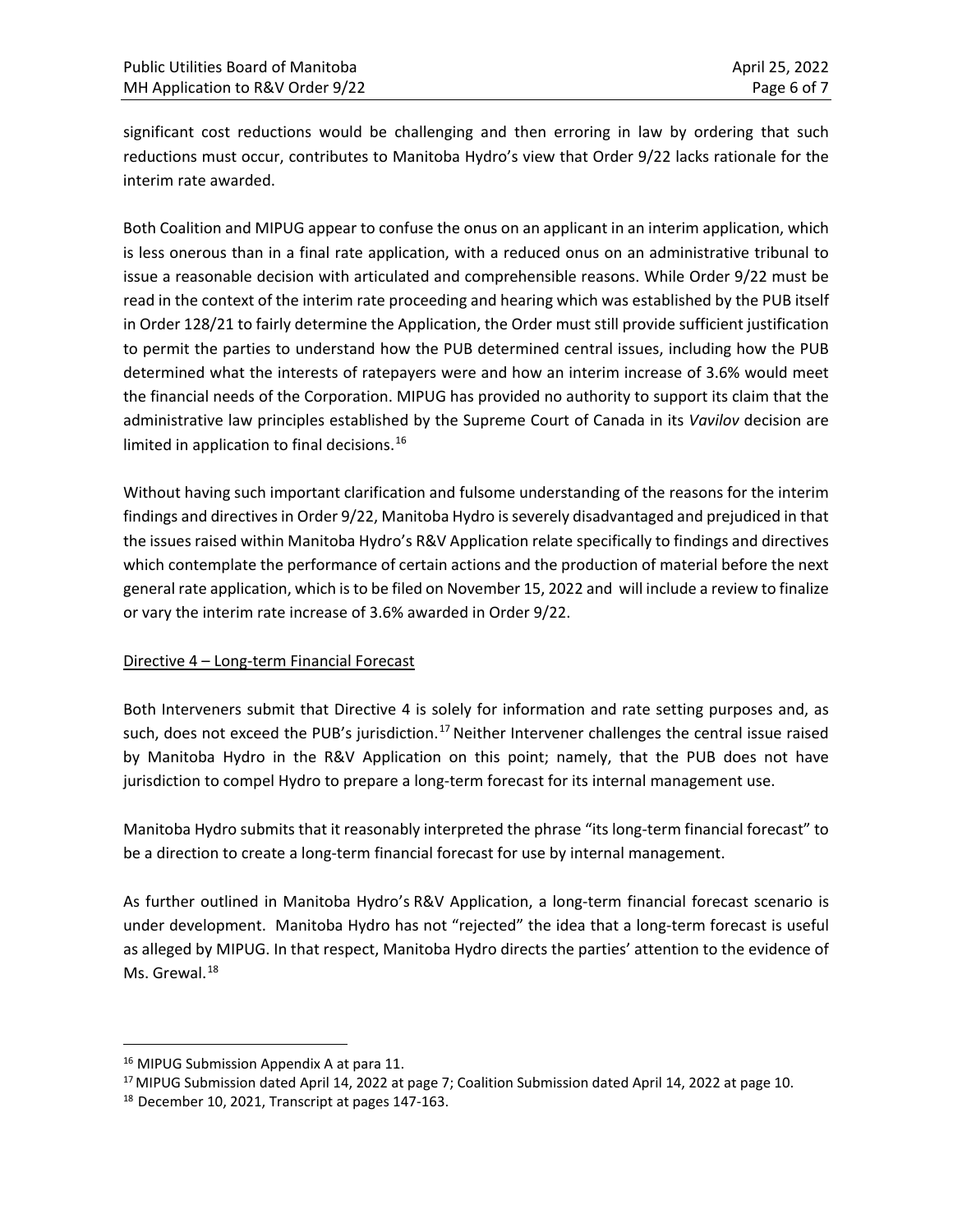significant cost reductions would be challenging and then erroring in law by ordering that such reductions must occur, contributes to Manitoba Hydro's view that Order 9/22 lacks rationale for the interim rate awarded.

Both Coalition and MIPUG appear to confuse the onus on an applicant in an interim application, which is less onerous than in a final rate application, with a reduced onus on an administrative tribunal to issue a reasonable decision with articulated and comprehensible reasons. While Order 9/22 must be read in the context of the interim rate proceeding and hearing which was established by the PUB itself in Order 128/21 to fairly determine the Application, the Order must still provide sufficient justification to permit the parties to understand how the PUB determined central issues, including how the PUB determined what the interests of ratepayers were and how an interim increase of 3.6% would meet the financial needs of the Corporation. MIPUG has provided no authority to support its claim that the administrative law principles established by the Supreme Court of Canada in its *Vavilov* decision are limited in application to final decisions.<sup>[16](#page-5-0)</sup>

Without having such important clarification and fulsome understanding of the reasons for the interim findings and directives in Order 9/22, Manitoba Hydro is severely disadvantaged and prejudiced in that the issues raised within Manitoba Hydro's R&V Application relate specifically to findings and directives which contemplate the performance of certain actions and the production of material before the next general rate application, which is to be filed on November 15, 2022 and will include a review to finalize or vary the interim rate increase of 3.6% awarded in Order 9/22.

### Directive 4 – Long-term Financial Forecast

Both Interveners submit that Directive 4 is solely for information and rate setting purposes and, as such, does not exceed the PUB's jurisdiction.<sup>[17](#page-5-1)</sup> Neither Intervener challenges the central issue raised by Manitoba Hydro in the R&V Application on this point; namely, that the PUB does not have jurisdiction to compel Hydro to prepare a long-term forecast for its internal management use.

Manitoba Hydro submits that it reasonably interpreted the phrase "its long-term financial forecast" to be a direction to create a long-term financial forecast for use by internal management.

As further outlined in Manitoba Hydro's R&V Application, a long-term financial forecast scenario is under development. Manitoba Hydro has not "rejected" the idea that a long-term forecast is useful as alleged by MIPUG. In that respect, Manitoba Hydro directs the parties' attention to the evidence of Ms. Grewal.<sup>[18](#page-5-2)</sup>

<span id="page-5-0"></span><sup>&</sup>lt;sup>16</sup> MIPUG Submission Appendix A at para 11.

<span id="page-5-1"></span><sup>&</sup>lt;sup>17</sup> MIPUG Submission dated April 14, 2022 at page 7; Coalition Submission dated April 14, 2022 at page 10. <sup>18</sup> December 10, 2021, Transcript at pages 147-163.

<span id="page-5-2"></span>